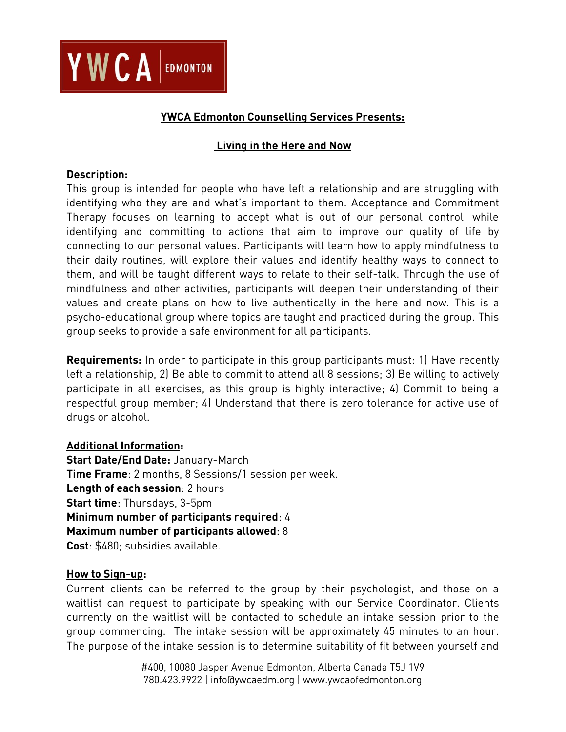

# **YWCA Edmonton Counselling Services Presents:**

## **Living in the Here and Now**

### **Description:**

This group is intended for people who have left a relationship and are struggling with identifying who they are and what's important to them. Acceptance and Commitment Therapy focuses on learning to accept what is out of our personal control, while identifying and committing to actions that aim to improve our quality of life by connecting to our personal values. Participants will learn how to apply mindfulness to their daily routines, will explore their values and identify healthy ways to connect to them, and will be taught different ways to relate to their self-talk. Through the use of mindfulness and other activities, participants will deepen their understanding of their values and create plans on how to live authentically in the here and now. This is a psycho-educational group where topics are taught and practiced during the group. This group seeks to provide a safe environment for all participants.

**Requirements:** In order to participate in this group participants must: 1) Have recently left a relationship, 2) Be able to commit to attend all 8 sessions; 3) Be willing to actively participate in all exercises, as this group is highly interactive; 4) Commit to being a respectful group member; 4) Understand that there is zero tolerance for active use of drugs or alcohol.

## **Additional Information:**

**Start Date/End Date:** January-March **Time Frame**: 2 months, 8 Sessions/1 session per week. **Length of each session**: 2 hours **Start time**: Thursdays, 3-5pm **Minimum number of participants required**: 4 **Maximum number of participants allowed**: 8 **Cost**: \$480; subsidies available.

#### **How to Sign-up:**

Current clients can be referred to the group by their psychologist, and those on a waitlist can request to participate by speaking with our Service Coordinator. Clients currently on the waitlist will be contacted to schedule an intake session prior to the group commencing. The intake session will be approximately 45 minutes to an hour. The purpose of the intake session is to determine suitability of fit between yourself and

> #400, 10080 Jasper Avenue Edmonton, Alberta Canada T5J 1V9 780.423.9922 | info@ywcaedm.org | www.ywcaofedmonton.org